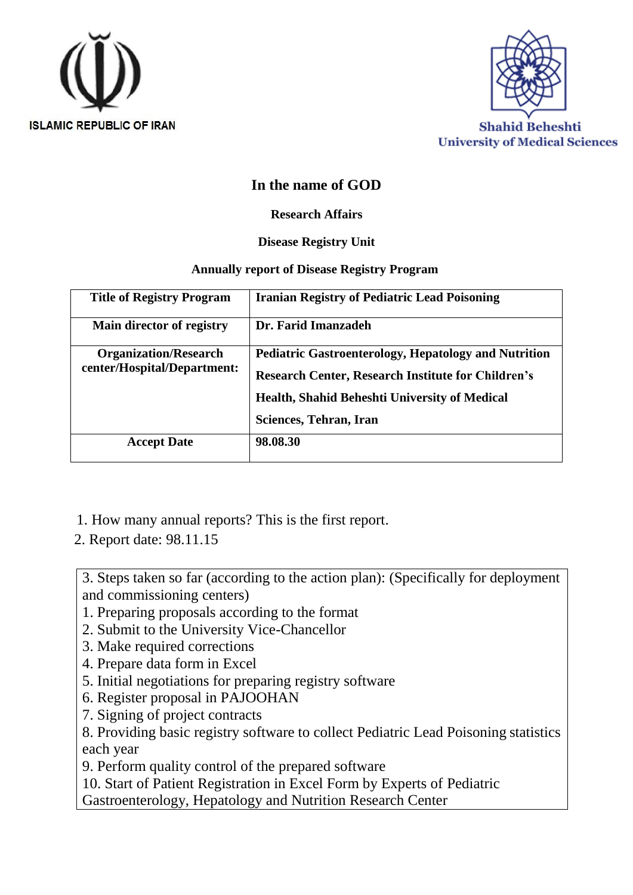



### **In the name of GOD**

#### **Research Affairs**

#### **Disease Registry Unit**

#### **Annually report of Disease Registry Program**

| <b>Title of Registry Program</b>                            | <b>Iranian Registry of Pediatric Lead Poisoning</b>                                                                      |  |  |
|-------------------------------------------------------------|--------------------------------------------------------------------------------------------------------------------------|--|--|
| Main director of registry                                   | Dr. Farid Imanzadeh                                                                                                      |  |  |
| <b>Organization/Research</b><br>center/Hospital/Department: | <b>Pediatric Gastroenterology, Hepatology and Nutrition</b><br><b>Research Center, Research Institute for Children's</b> |  |  |
|                                                             | <b>Health, Shahid Beheshti University of Medical</b>                                                                     |  |  |
|                                                             | Sciences, Tehran, Iran                                                                                                   |  |  |
| <b>Accept Date</b>                                          | 98.08.30                                                                                                                 |  |  |

- 1. How many annual reports? This is the first report.
- 2. Report date: 98.11.15

3. Steps taken so far (according to the action plan): (Specifically for deployment and commissioning centers)

- 1. Preparing proposals according to the format
- 2. Submit to the University Vice-Chancellor
- 3. Make required corrections
- 4. Prepare data form in Excel
- 5. Initial negotiations for preparing registry software
- 6. Register proposal in PAJOOHAN
- 7. Signing of project contracts

8. Providing basic registry software to collect Pediatric Lead Poisoning statistics each year

9. Perform quality control of the prepared software

10. Start of Patient Registration in Excel Form by Experts of Pediatric

Gastroenterology, Hepatology and Nutrition Research Center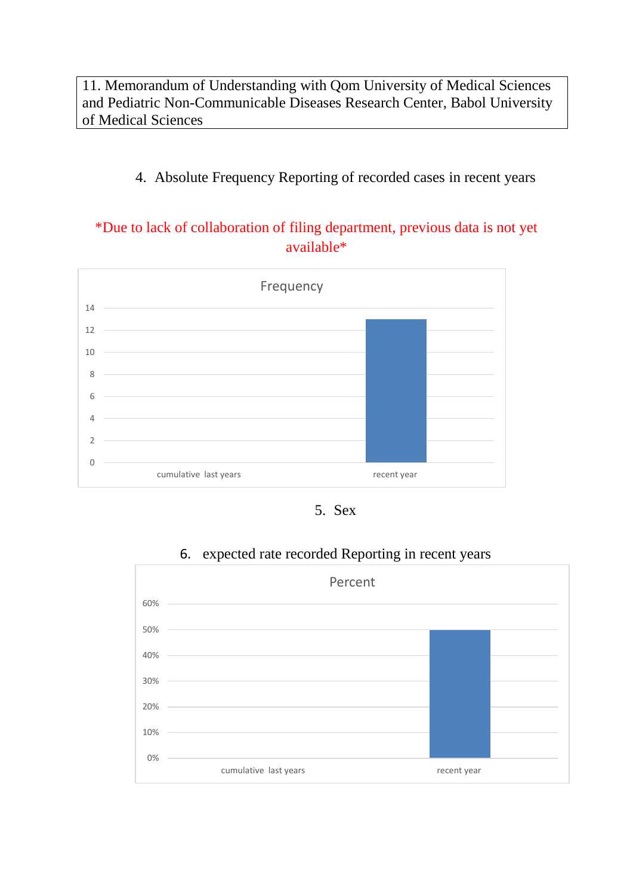11. Memorandum of Understanding with Qom University of Medical Sciences and Pediatric Non-Communicable Diseases Research Center, Babol University of Medical Sciences

### 4. Absolute Frequency Reporting of recorded cases in recent years

### \*Due to lack of collaboration of filing department, previous data is not yet available\*



5. Sex



### 6. expected rate recorded Reporting in recent years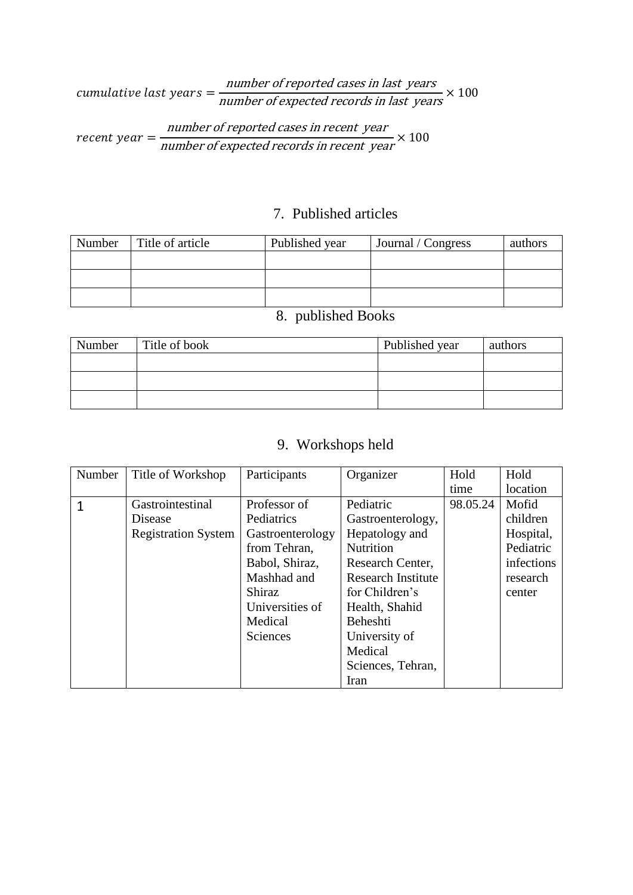## cumulative last years  $=\frac{number\ of\ reported\ cases\ in\ last\ years}{m\ (m\ of\ 1\ 2\ 2\ 2\ 3)}$ number of expected records in last years  $\times$  100

recent year =  $\frac{number\ of\ reported\ cases\ in\ recent\ year}{1}$ number of expected records in recent year  $\times$  100

#### 7. Published articles

| Number | Title of article | Published year | Journal / Congress | authors |
|--------|------------------|----------------|--------------------|---------|
|        |                  |                |                    |         |
|        |                  |                |                    |         |
|        |                  |                |                    |         |

### 8. published Books

| Number | Title of book | Published year | authors |
|--------|---------------|----------------|---------|
|        |               |                |         |
|        |               |                |         |
|        |               |                |         |

# 9. Workshops held

| Number | Title of Workshop          | Participants                       | Organizer                 | Hold     | Hold       |
|--------|----------------------------|------------------------------------|---------------------------|----------|------------|
|        |                            | time                               |                           | location |            |
|        | Gastrointestinal           | Professor of                       | Pediatric                 | 98.05.24 | Mofid      |
|        | Disease                    | Pediatrics                         | Gastroenterology,         |          | children   |
|        | <b>Registration System</b> | Gastroenterology                   | Hepatology and            |          | Hospital,  |
|        |                            | from Tehran,                       | <b>Nutrition</b>          |          | Pediatric  |
|        |                            | Babol, Shiraz,<br>Research Center, |                           |          | infections |
|        |                            | Mashhad and                        | <b>Research Institute</b> |          | research   |
|        |                            | Shiraz<br>for Children's           |                           |          | center     |
|        |                            | Universities of                    | Health, Shahid            |          |            |
|        |                            | Medical                            | Beheshti                  |          |            |
|        |                            | Sciences                           | University of             |          |            |
|        |                            |                                    | Medical                   |          |            |
|        |                            |                                    | Sciences, Tehran,         |          |            |
|        |                            |                                    | Iran                      |          |            |